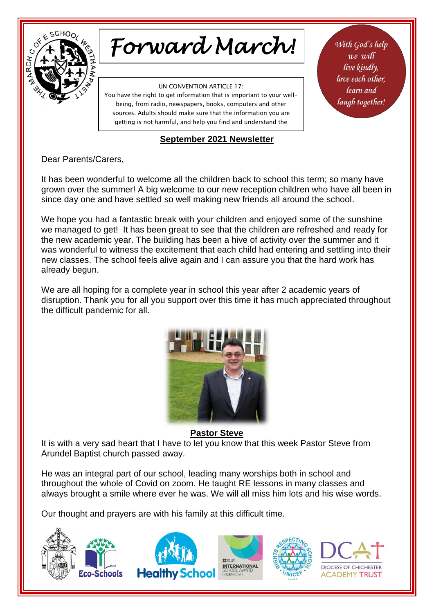

# *Forward March!*

UN CONVENTION ARTICLE 17:

You have the right to get information that is important to your wellbeing, from radio, newspapers, books, computers and other sources. Adults should make sure that the information you are getting is not harmful, and help you find and understand the

#### information you need. **September 2021 Newsletter**

With God's help we will live kindly, love each other. learn and laugh together!

### Dear Parents/Carers,

It has been wonderful to welcome all the children back to school this term; so many have grown over the summer! A big welcome to our new reception children who have all been in since day one and have settled so well making new friends all around the school.

We hope you had a fantastic break with your children and enjoyed some of the sunshine we managed to get! It has been great to see that the children are refreshed and ready for the new academic year. The building has been a hive of activity over the summer and it was wonderful to witness the excitement that each child had entering and settling into their new classes. The school feels alive again and I can assure you that the hard work has already begun.

We are all hoping for a complete year in school this year after 2 academic years of disruption. Thank you for all you support over this time it has much appreciated throughout the difficult pandemic for all.



**Pastor Steve** It is with a very sad heart that I have to let you know that this week Pastor Steve from Arundel Baptist church passed away.

He was an integral part of our school, leading many worships both in school and throughout the whole of Covid on zoom. He taught RE lessons in many classes and always brought a smile where ever he was. We will all miss him lots and his wise words.

Our thought and prayers are with his family at this difficult time.

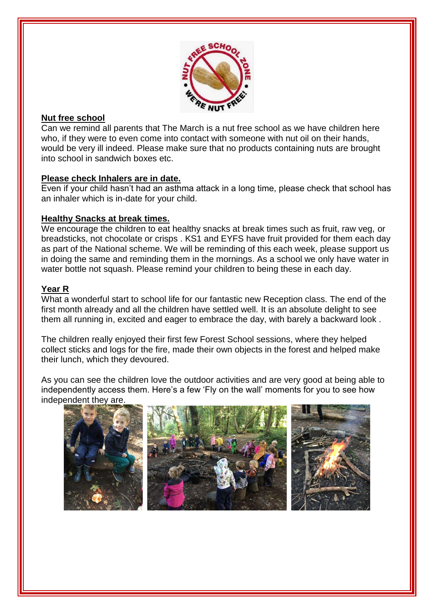

# **Nut free school**

Can we remind all parents that The March is a nut free school as we have children here who, if they were to even come into contact with someone with nut oil on their hands, would be very ill indeed. Please make sure that no products containing nuts are brought into school in sandwich boxes etc.

#### **Please check Inhalers are in date.**

Even if your child hasn't had an asthma attack in a long time, please check that school has an inhaler which is in-date for your child.

### **Healthy Snacks at break times.**

We encourage the children to eat healthy snacks at break times such as fruit, raw veg, or breadsticks, not chocolate or crisps . KS1 and EYFS have fruit provided for them each day as part of the National scheme. We will be reminding of this each week, please support us in doing the same and reminding them in the mornings. As a school we only have water in water bottle not squash. Please remind your children to being these in each day.

## **Year R**

İ

What a wonderful start to school life for our fantastic new Reception class. The end of the first month already and all the children have settled well. It is an absolute delight to see them all running in, excited and eager to embrace the day, with barely a backward look .

The children really enjoyed their first few Forest School sessions, where they helped collect sticks and logs for the fire, made their own objects in the forest and helped make their lunch, which they devoured.

As you can see the children love the outdoor activities and are very good at being able to independently access them. Here's a few 'Fly on the wall' moments for you to see how independent they are.

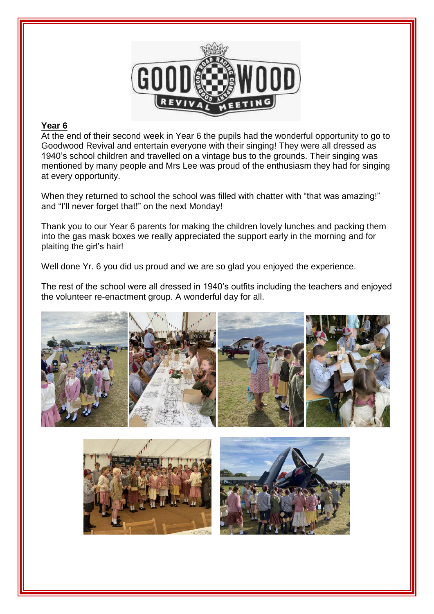

#### **Year 6**

İ

At the end of their second week in Year 6 the pupils had the wonderful opportunity to go to Goodwood Revival and entertain everyone with their singing! They were all dressed as 1940's school children and travelled on a vintage bus to the grounds. Their singing was mentioned by many people and Mrs Lee was proud of the enthusiasm they had for singing at every opportunity.

When they returned to school the school was filled with chatter with "that was amazing!" and "I'll never forget that!" on the next Monday!

Thank you to our Year 6 parents for making the children lovely lunches and packing them into the gas mask boxes we really appreciated the support early in the morning and for plaiting the girl's hair!

Well done Yr. 6 you did us proud and we are so glad you enjoyed the experience.

The rest of the school were all dressed in 1940's outfits including the teachers and enjoyed the volunteer re-enactment group. A wonderful day for all.





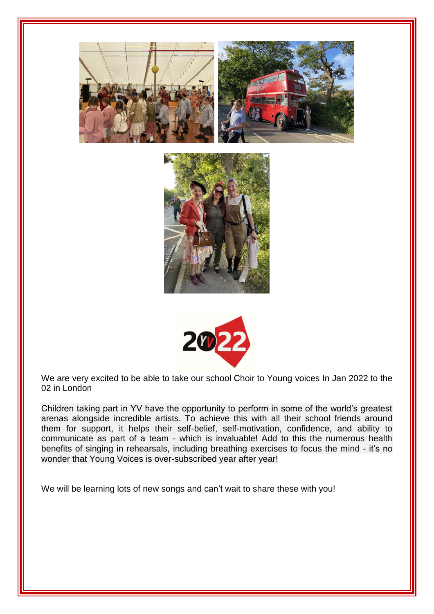





We are very excited to be able to take our school Choir to Young voices In Jan 2022 to the 02 in London

Children taking part in YV have the opportunity to perform in some of the world's greatest arenas alongside incredible artists. To achieve this with all their school friends around them for support, it helps their self-belief, self-motivation, confidence, and ability to communicate as part of a team - which is invaluable! Add to this the numerous health benefits of singing in rehearsals, including breathing exercises to focus the mind - it's no wonder that Young Voices is over-subscribed year after year!

We will be learning lots of new songs and can't wait to share these with you!

İ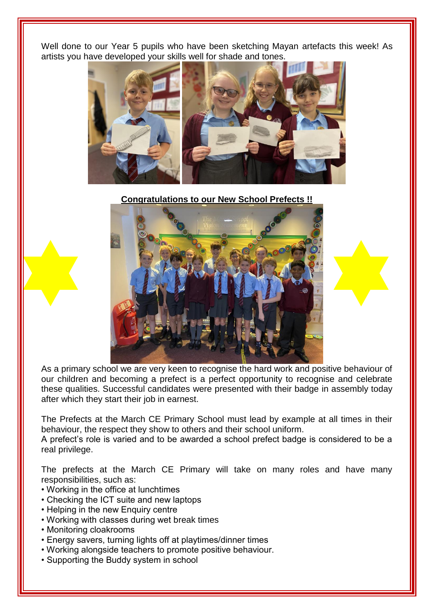Well done to our Year 5 pupils who have been sketching Mayan artefacts this week! As artists you have developed your skills well for shade and tones.



**Congratulations to our New School Prefects !!**



As a primary school we are very keen to recognise the hard work and positive behaviour of our children and becoming a prefect is a perfect opportunity to recognise and celebrate these qualities. Successful candidates were presented with their badge in assembly today after which they start their job in earnest.

The Prefects at the March CE Primary School must lead by example at all times in their behaviour, the respect they show to others and their school uniform.

A prefect's role is varied and to be awarded a school prefect badge is considered to be a real privilege.

The prefects at the March CE Primary will take on many roles and have many responsibilities, such as:

- Working in the office at lunchtimes
- Checking the ICT suite and new laptops
- Helping in the new Enquiry centre
- Working with classes during wet break times
- Monitoring cloakrooms

İ

- Energy savers, turning lights off at playtimes/dinner times
- Working alongside teachers to promote positive behaviour.
- Supporting the Buddy system in school